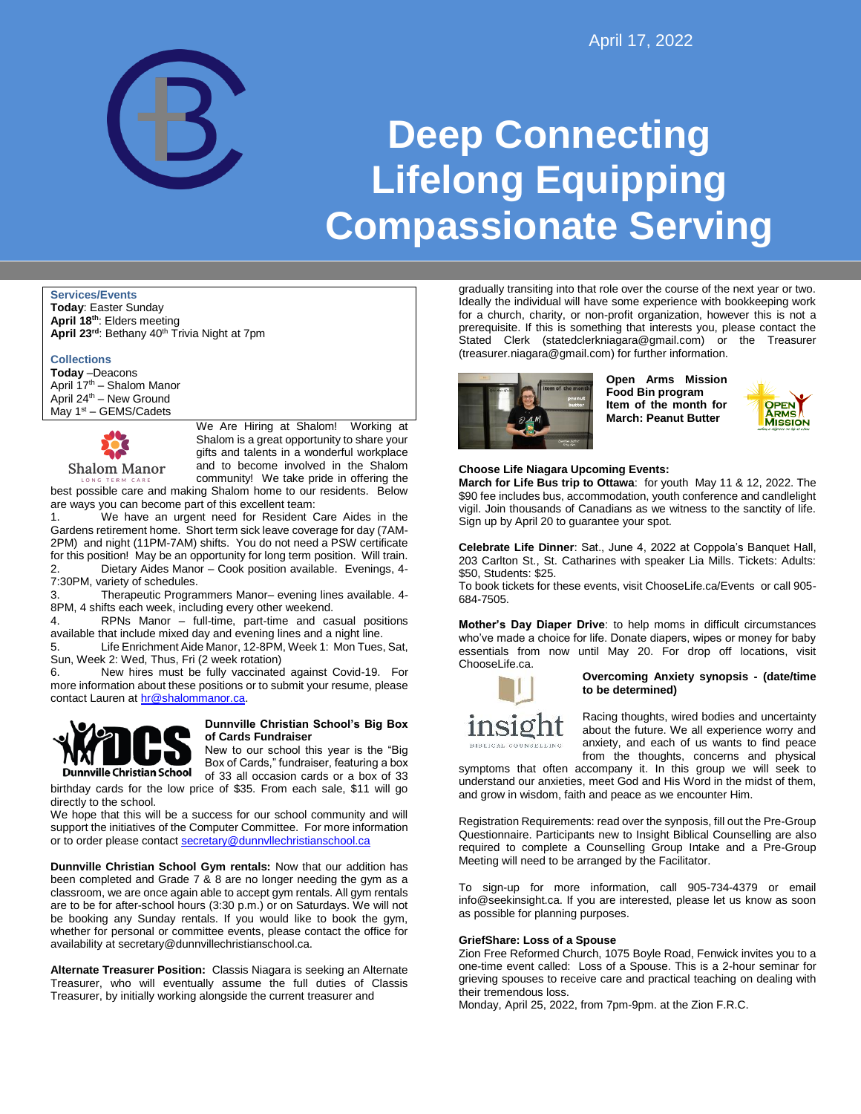

# **Deep Connecting Lifelong Equipping Compassionate Serving**

**Services/Events**

**Today**: Easter Sunday **April 18th**: Elders meeting **April 23rd**: Bethany 40th Trivia Night at 7pm

**Collections Today** –Deacons April 17th – Shalom Manor April  $24^{\text{th}}$  – New Ground May  $1<sup>st</sup> - GEMS/Cadets$ 



We Are Hiring at Shalom! Working at Shalom is a great opportunity to share your gifts and talents in a wonderful workplace and to become involved in the Shalom community! We take pride in offering the

best possible care and making Shalom home to our residents. Below are ways you can become part of this excellent team:

1. We have an urgent need for Resident Care Aides in the Gardens retirement home. Short term sick leave coverage for day (7AM-2PM) and night (11PM-7AM) shifts. You do not need a PSW certificate for this position! May be an opportunity for long term position. Will train. 2. Dietary Aides Manor – Cook position available. Evenings, 4- 7:30PM, variety of schedules.

3. Therapeutic Programmers Manor– evening lines available. 4- 8PM, 4 shifts each week, including every other weekend.

4. RPNs Manor – full-time, part-time and casual positions available that include mixed day and evening lines and a night line.

5. Life Enrichment Aide Manor, 12-8PM, Week 1: Mon Tues, Sat, Sun, Week 2: Wed, Thus, Fri (2 week rotation)

New hires must be fully vaccinated against Covid-19. For more information about these positions or to submit your resume, please contact Lauren at [hr@shalommanor.ca.](mailto:hr@shalommanor.ca)



## **Dunnville Christian School's Big Box of Cards Fundraiser**

New to our school this year is the "Big Box of Cards," fundraiser, featuring a box of 33 all occasion cards or a box of 33

birthday cards for the low price of \$35. From each sale, \$11 will go directly to the school.

We hope that this will be a success for our school community and will support the initiatives of the Computer Committee. For more information or to order please contact [secretary@dunnvllechristianschool.ca](mailto:secretary@dunnvllechristianschool.ca)

**Dunnville Christian School Gym rentals:** Now that our addition has been completed and Grade 7 & 8 are no longer needing the gym as a classroom, we are once again able to accept gym rentals. All gym rentals are to be for after-school hours (3:30 p.m.) or on Saturdays. We will not be booking any Sunday rentals. If you would like to book the gym, whether for personal or committee events, please contact the office for availability at secretary@dunnvillechristianschool.ca.

**Alternate Treasurer Position:** Classis Niagara is seeking an Alternate Treasurer, who will eventually assume the full duties of Classis Treasurer, by initially working alongside the current treasurer and

gradually transiting into that role over the course of the next year or two. Ideally the individual will have some experience with bookkeeping work for a church, charity, or non-profit organization, however this is not a prerequisite. If this is something that interests you, please contact the Stated Clerk (statedclerkniagara@gmail.com) or the Treasurer (treasurer.niagara@gmail.com) for further information.



**Open Arms Mission Food Bin program Item of the month for March: Peanut Butter**



## **Choose Life Niagara Upcoming Events:**

**March for Life Bus trip to Ottawa**: for youth May 11 & 12, 2022. The \$90 fee includes bus, accommodation, youth conference and candlelight vigil. Join thousands of Canadians as we witness to the sanctity of life. Sign up by April 20 to guarantee your spot.

**Celebrate Life Dinner**: Sat., June 4, 2022 at Coppola's Banquet Hall, 203 Carlton St., St. Catharines with speaker Lia Mills. Tickets: Adults: \$50, Students: \$25.

To book tickets for these events, visit ChooseLife.ca/Events or call 905- 684-7505.

**Mother's Day Diaper Drive**: to help moms in difficult circumstances who've made a choice for life. Donate diapers, wipes or money for baby essentials from now until May 20. For drop off locations, visit ChooseLife.ca.



## **Overcoming Anxiety synopsis - (date/time to be determined)**

Racing thoughts, wired bodies and uncertainty about the future. We all experience worry and anxiety, and each of us wants to find peace from the thoughts, concerns and physical

symptoms that often accompany it. In this group we will seek to understand our anxieties, meet God and His Word in the midst of them, and grow in wisdom, faith and peace as we encounter Him.

Registration Requirements: read over the synposis, fill out the Pre-Group Questionnaire. Participants new to Insight Biblical Counselling are also required to complete a Counselling Group Intake and a Pre-Group Meeting will need to be arranged by the Facilitator.

To sign-up for more information, call 905-734-4379 or email info@seekinsight.ca. If you are interested, please let us know as soon as possible for planning purposes.

## **GriefShare: Loss of a Spouse**

Zion Free Reformed Church, 1075 Boyle Road, Fenwick invites you to a one-time event called: Loss of a Spouse. This is a 2-hour seminar for grieving spouses to receive care and practical teaching on dealing with their tremendous loss.

Monday, April 25, 2022, from 7pm-9pm. at the Zion F.R.C.